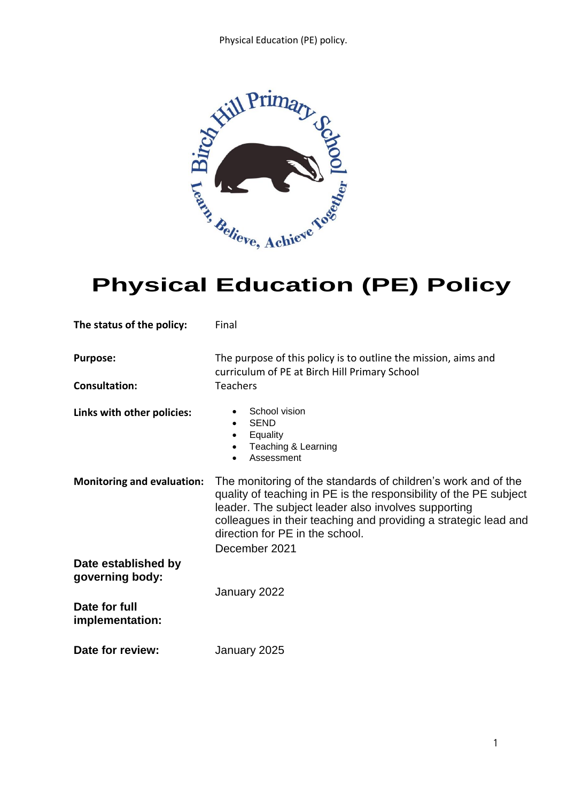

# **Physical Education (PE) Policy**

| The status of the policy:              | Final                                                                                                                                                                                                                                                                                                            |
|----------------------------------------|------------------------------------------------------------------------------------------------------------------------------------------------------------------------------------------------------------------------------------------------------------------------------------------------------------------|
| <b>Purpose:</b>                        | The purpose of this policy is to outline the mission, aims and<br>curriculum of PE at Birch Hill Primary School                                                                                                                                                                                                  |
| <b>Consultation:</b>                   | <b>Teachers</b>                                                                                                                                                                                                                                                                                                  |
| Links with other policies:             | School vision<br><b>SEND</b><br>Equality<br>Teaching & Learning<br>Assessment                                                                                                                                                                                                                                    |
| <b>Monitoring and evaluation:</b>      | The monitoring of the standards of children's work and of the<br>quality of teaching in PE is the responsibility of the PE subject<br>leader. The subject leader also involves supporting<br>colleagues in their teaching and providing a strategic lead and<br>direction for PE in the school.<br>December 2021 |
| Date established by<br>governing body: |                                                                                                                                                                                                                                                                                                                  |
|                                        | January 2022                                                                                                                                                                                                                                                                                                     |
| Date for full<br>implementation:       |                                                                                                                                                                                                                                                                                                                  |
| Date for review:                       | January 2025                                                                                                                                                                                                                                                                                                     |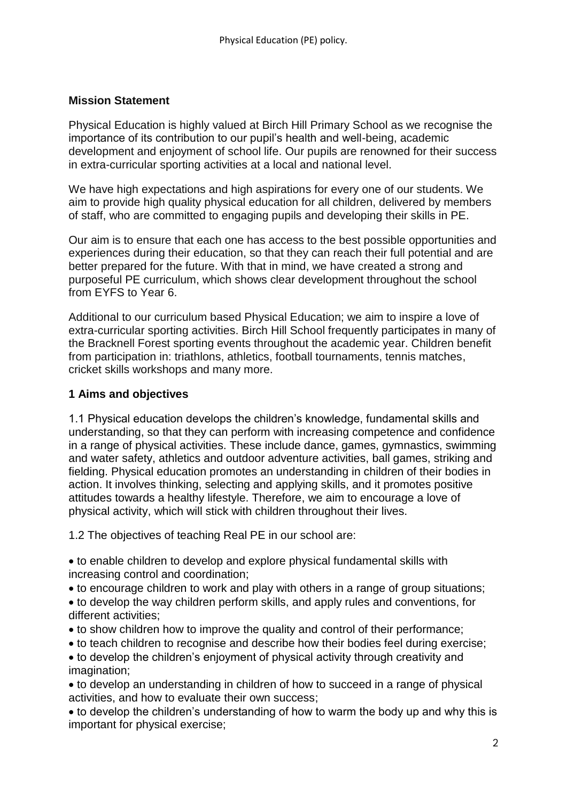#### **Mission Statement**

Physical Education is highly valued at Birch Hill Primary School as we recognise the importance of its contribution to our pupil's health and well-being, academic development and enjoyment of school life. Our pupils are renowned for their success in extra-curricular sporting activities at a local and national level.

We have high expectations and high aspirations for every one of our students. We aim to provide high quality physical education for all children, delivered by members of staff, who are committed to engaging pupils and developing their skills in PE.

Our aim is to ensure that each one has access to the best possible opportunities and experiences during their education, so that they can reach their full potential and are better prepared for the future. With that in mind, we have created a strong and purposeful PE curriculum, which shows clear development throughout the school from EYFS to Year 6.

Additional to our curriculum based Physical Education; we aim to inspire a love of extra-curricular sporting activities. Birch Hill School frequently participates in many of the Bracknell Forest sporting events throughout the academic year. Children benefit from participation in: triathlons, athletics, football tournaments, tennis matches, cricket skills workshops and many more.

#### **1 Aims and objectives**

1.1 Physical education develops the children's knowledge, fundamental skills and understanding, so that they can perform with increasing competence and confidence in a range of physical activities. These include dance, games, gymnastics, swimming and water safety, athletics and outdoor adventure activities, ball games, striking and fielding. Physical education promotes an understanding in children of their bodies in action. It involves thinking, selecting and applying skills, and it promotes positive attitudes towards a healthy lifestyle. Therefore, we aim to encourage a love of physical activity, which will stick with children throughout their lives.

1.2 The objectives of teaching Real PE in our school are:

 to enable children to develop and explore physical fundamental skills with increasing control and coordination;

- to encourage children to work and play with others in a range of group situations;
- to develop the way children perform skills, and apply rules and conventions, for different activities;
- to show children how to improve the quality and control of their performance;
- to teach children to recognise and describe how their bodies feel during exercise;
- to develop the children's enjoyment of physical activity through creativity and imagination:
- to develop an understanding in children of how to succeed in a range of physical activities, and how to evaluate their own success;
- to develop the children's understanding of how to warm the body up and why this is important for physical exercise;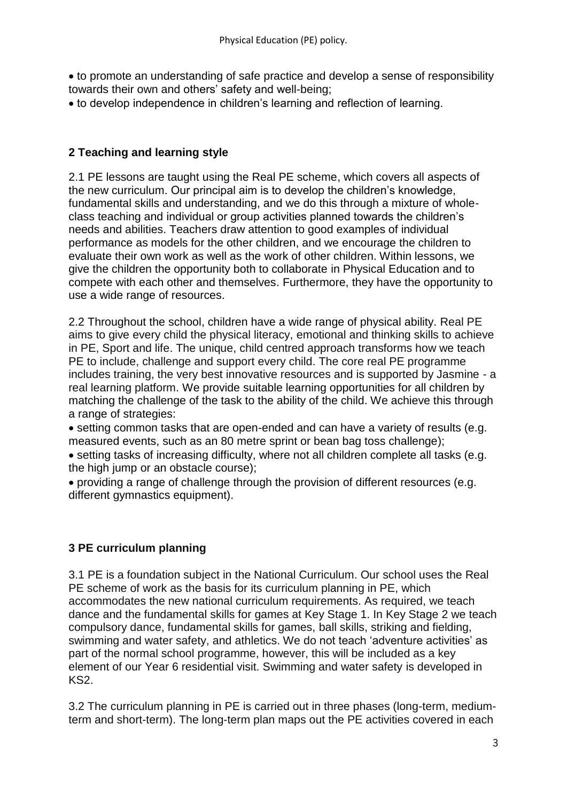to promote an understanding of safe practice and develop a sense of responsibility towards their own and others' safety and well-being;

to develop independence in children's learning and reflection of learning.

## **2 Teaching and learning style**

2.1 PE lessons are taught using the Real PE scheme, which covers all aspects of the new curriculum. Our principal aim is to develop the children's knowledge, fundamental skills and understanding, and we do this through a mixture of wholeclass teaching and individual or group activities planned towards the children's needs and abilities. Teachers draw attention to good examples of individual performance as models for the other children, and we encourage the children to evaluate their own work as well as the work of other children. Within lessons, we give the children the opportunity both to collaborate in Physical Education and to compete with each other and themselves. Furthermore, they have the opportunity to use a wide range of resources.

2.2 Throughout the school, children have a wide range of physical ability. Real PE aims to give every child the physical literacy, emotional and thinking skills to achieve in PE, Sport and life. The unique, child centred approach transforms how we teach PE to include, challenge and support every child. The core real PE programme includes training, the very best innovative resources and is supported by Jasmine - a real learning platform. We provide suitable learning opportunities for all children by matching the challenge of the task to the ability of the child. We achieve this through a range of strategies:

 setting common tasks that are open-ended and can have a variety of results (e.g. measured events, such as an 80 metre sprint or bean bag toss challenge);

 setting tasks of increasing difficulty, where not all children complete all tasks (e.g. the high jump or an obstacle course);

 providing a range of challenge through the provision of different resources (e.g. different gymnastics equipment).

#### **3 PE curriculum planning**

3.1 PE is a foundation subject in the National Curriculum. Our school uses the Real PE scheme of work as the basis for its curriculum planning in PE, which accommodates the new national curriculum requirements. As required, we teach dance and the fundamental skills for games at Key Stage 1. In Key Stage 2 we teach compulsory dance, fundamental skills for games, ball skills, striking and fielding, swimming and water safety, and athletics. We do not teach 'adventure activities' as part of the normal school programme, however, this will be included as a key element of our Year 6 residential visit. Swimming and water safety is developed in KS2.

3.2 The curriculum planning in PE is carried out in three phases (long-term, mediumterm and short-term). The long-term plan maps out the PE activities covered in each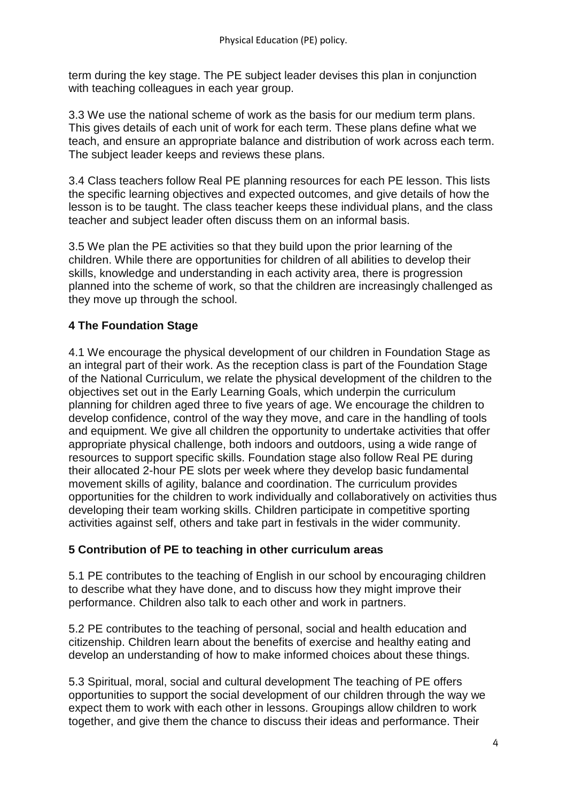term during the key stage. The PE subject leader devises this plan in conjunction with teaching colleagues in each year group.

3.3 We use the national scheme of work as the basis for our medium term plans. This gives details of each unit of work for each term. These plans define what we teach, and ensure an appropriate balance and distribution of work across each term. The subject leader keeps and reviews these plans.

3.4 Class teachers follow Real PE planning resources for each PE lesson. This lists the specific learning objectives and expected outcomes, and give details of how the lesson is to be taught. The class teacher keeps these individual plans, and the class teacher and subject leader often discuss them on an informal basis.

3.5 We plan the PE activities so that they build upon the prior learning of the children. While there are opportunities for children of all abilities to develop their skills, knowledge and understanding in each activity area, there is progression planned into the scheme of work, so that the children are increasingly challenged as they move up through the school.

## **4 The Foundation Stage**

4.1 We encourage the physical development of our children in Foundation Stage as an integral part of their work. As the reception class is part of the Foundation Stage of the National Curriculum, we relate the physical development of the children to the objectives set out in the Early Learning Goals, which underpin the curriculum planning for children aged three to five years of age. We encourage the children to develop confidence, control of the way they move, and care in the handling of tools and equipment. We give all children the opportunity to undertake activities that offer appropriate physical challenge, both indoors and outdoors, using a wide range of resources to support specific skills. Foundation stage also follow Real PE during their allocated 2-hour PE slots per week where they develop basic fundamental movement skills of agility, balance and coordination. The curriculum provides opportunities for the children to work individually and collaboratively on activities thus developing their team working skills. Children participate in competitive sporting activities against self, others and take part in festivals in the wider community.

#### **5 Contribution of PE to teaching in other curriculum areas**

5.1 PE contributes to the teaching of English in our school by encouraging children to describe what they have done, and to discuss how they might improve their performance. Children also talk to each other and work in partners.

5.2 PE contributes to the teaching of personal, social and health education and citizenship. Children learn about the benefits of exercise and healthy eating and develop an understanding of how to make informed choices about these things.

5.3 Spiritual, moral, social and cultural development The teaching of PE offers opportunities to support the social development of our children through the way we expect them to work with each other in lessons. Groupings allow children to work together, and give them the chance to discuss their ideas and performance. Their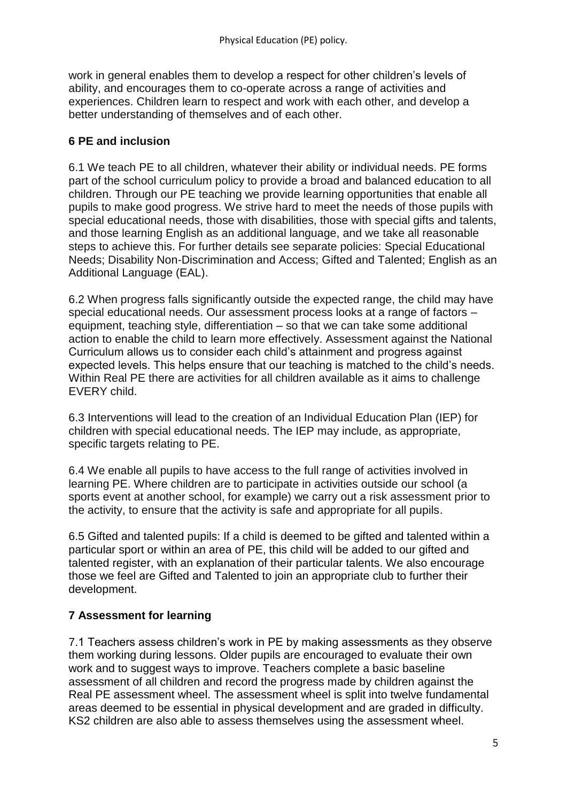work in general enables them to develop a respect for other children's levels of ability, and encourages them to co-operate across a range of activities and experiences. Children learn to respect and work with each other, and develop a better understanding of themselves and of each other.

### **6 PE and inclusion**

6.1 We teach PE to all children, whatever their ability or individual needs. PE forms part of the school curriculum policy to provide a broad and balanced education to all children. Through our PE teaching we provide learning opportunities that enable all pupils to make good progress. We strive hard to meet the needs of those pupils with special educational needs, those with disabilities, those with special gifts and talents, and those learning English as an additional language, and we take all reasonable steps to achieve this. For further details see separate policies: Special Educational Needs; Disability Non-Discrimination and Access; Gifted and Talented; English as an Additional Language (EAL).

6.2 When progress falls significantly outside the expected range, the child may have special educational needs. Our assessment process looks at a range of factors – equipment, teaching style, differentiation – so that we can take some additional action to enable the child to learn more effectively. Assessment against the National Curriculum allows us to consider each child's attainment and progress against expected levels. This helps ensure that our teaching is matched to the child's needs. Within Real PE there are activities for all children available as it aims to challenge EVERY child.

6.3 Interventions will lead to the creation of an Individual Education Plan (IEP) for children with special educational needs. The IEP may include, as appropriate, specific targets relating to PE.

6.4 We enable all pupils to have access to the full range of activities involved in learning PE. Where children are to participate in activities outside our school (a sports event at another school, for example) we carry out a risk assessment prior to the activity, to ensure that the activity is safe and appropriate for all pupils.

6.5 Gifted and talented pupils: If a child is deemed to be gifted and talented within a particular sport or within an area of PE, this child will be added to our gifted and talented register, with an explanation of their particular talents. We also encourage those we feel are Gifted and Talented to join an appropriate club to further their development.

## **7 Assessment for learning**

7.1 Teachers assess children's work in PE by making assessments as they observe them working during lessons. Older pupils are encouraged to evaluate their own work and to suggest ways to improve. Teachers complete a basic baseline assessment of all children and record the progress made by children against the Real PE assessment wheel. The assessment wheel is split into twelve fundamental areas deemed to be essential in physical development and are graded in difficulty. KS2 children are also able to assess themselves using the assessment wheel.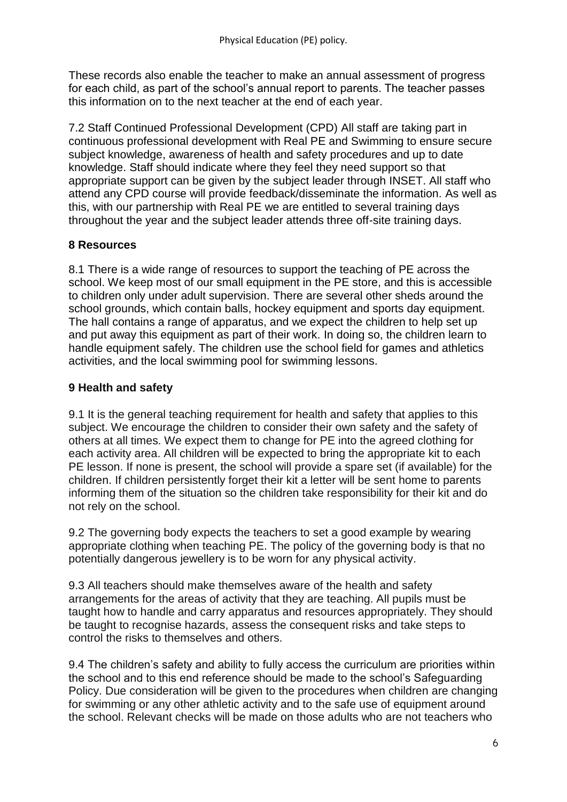These records also enable the teacher to make an annual assessment of progress for each child, as part of the school's annual report to parents. The teacher passes this information on to the next teacher at the end of each year.

7.2 Staff Continued Professional Development (CPD) All staff are taking part in continuous professional development with Real PE and Swimming to ensure secure subject knowledge, awareness of health and safety procedures and up to date knowledge. Staff should indicate where they feel they need support so that appropriate support can be given by the subject leader through INSET. All staff who attend any CPD course will provide feedback/disseminate the information. As well as this, with our partnership with Real PE we are entitled to several training days throughout the year and the subject leader attends three off-site training days.

## **8 Resources**

8.1 There is a wide range of resources to support the teaching of PE across the school. We keep most of our small equipment in the PE store, and this is accessible to children only under adult supervision. There are several other sheds around the school grounds, which contain balls, hockey equipment and sports day equipment. The hall contains a range of apparatus, and we expect the children to help set up and put away this equipment as part of their work. In doing so, the children learn to handle equipment safely. The children use the school field for games and athletics activities, and the local swimming pool for swimming lessons.

## **9 Health and safety**

9.1 It is the general teaching requirement for health and safety that applies to this subject. We encourage the children to consider their own safety and the safety of others at all times. We expect them to change for PE into the agreed clothing for each activity area. All children will be expected to bring the appropriate kit to each PE lesson. If none is present, the school will provide a spare set (if available) for the children. If children persistently forget their kit a letter will be sent home to parents informing them of the situation so the children take responsibility for their kit and do not rely on the school.

9.2 The governing body expects the teachers to set a good example by wearing appropriate clothing when teaching PE. The policy of the governing body is that no potentially dangerous jewellery is to be worn for any physical activity.

9.3 All teachers should make themselves aware of the health and safety arrangements for the areas of activity that they are teaching. All pupils must be taught how to handle and carry apparatus and resources appropriately. They should be taught to recognise hazards, assess the consequent risks and take steps to control the risks to themselves and others.

9.4 The children's safety and ability to fully access the curriculum are priorities within the school and to this end reference should be made to the school's Safeguarding Policy. Due consideration will be given to the procedures when children are changing for swimming or any other athletic activity and to the safe use of equipment around the school. Relevant checks will be made on those adults who are not teachers who